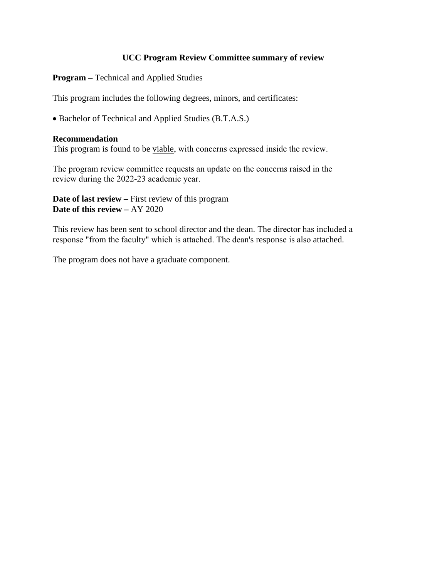# **UCC Program Review Committee summary of review**

**Program –** Technical and Applied Studies

This program includes the following degrees, minors, and certificates:

• Bachelor of Technical and Applied Studies (B.T.A.S.)

### **Recommendation**

This program is found to be viable, with concerns expressed inside the review.

The program review committee requests an update on the concerns raised in the review during the 2022-23 academic year.

**Date of last review –** First review of this program **Date of this review –** AY 2020

This review has been sent to school director and the dean. The director has included a response "from the faculty" which is attached. The dean's response is also attached.

The program does not have a graduate component.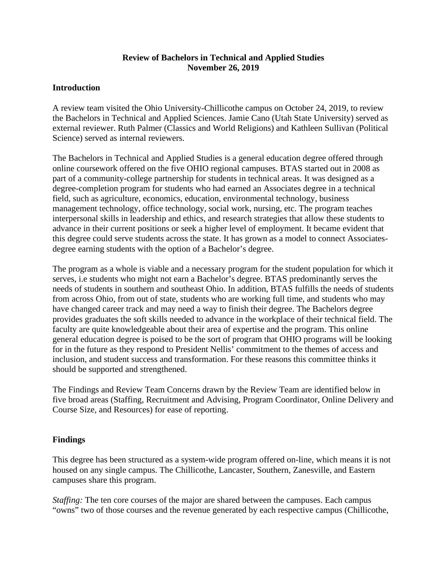## **Review of Bachelors in Technical and Applied Studies November 26, 2019**

## **Introduction**

A review team visited the Ohio University-Chillicothe campus on October 24, 2019, to review the Bachelors in Technical and Applied Sciences. Jamie Cano (Utah State University) served as external reviewer. Ruth Palmer (Classics and World Religions) and Kathleen Sullivan (Political Science) served as internal reviewers.

The Bachelors in Technical and Applied Studies is a general education degree offered through online coursework offered on the five OHIO regional campuses. BTAS started out in 2008 as part of a community-college partnership for students in technical areas. It was designed as a degree-completion program for students who had earned an Associates degree in a technical field, such as agriculture, economics, education, environmental technology, business management technology, office technology, social work, nursing, etc. The program teaches interpersonal skills in leadership and ethics, and research strategies that allow these students to advance in their current positions or seek a higher level of employment. It became evident that this degree could serve students across the state. It has grown as a model to connect Associatesdegree earning students with the option of a Bachelor's degree.

The program as a whole is viable and a necessary program for the student population for which it serves, i.e students who might not earn a Bachelor's degree. BTAS predominantly serves the needs of students in southern and southeast Ohio. In addition, BTAS fulfills the needs of students from across Ohio, from out of state, students who are working full time, and students who may have changed career track and may need a way to finish their degree. The Bachelors degree provides graduates the soft skills needed to advance in the workplace of their technical field. The faculty are quite knowledgeable about their area of expertise and the program. This online general education degree is poised to be the sort of program that OHIO programs will be looking for in the future as they respond to President Nellis' commitment to the themes of access and inclusion, and student success and transformation. For these reasons this committee thinks it should be supported and strengthened.

The Findings and Review Team Concerns drawn by the Review Team are identified below in five broad areas (Staffing, Recruitment and Advising, Program Coordinator, Online Delivery and Course Size, and Resources) for ease of reporting.

# **Findings**

This degree has been structured as a system-wide program offered on-line, which means it is not housed on any single campus. The Chillicothe, Lancaster, Southern, Zanesville, and Eastern campuses share this program.

*Staffing:* The ten core courses of the major are shared between the campuses. Each campus "owns" two of those courses and the revenue generated by each respective campus (Chillicothe,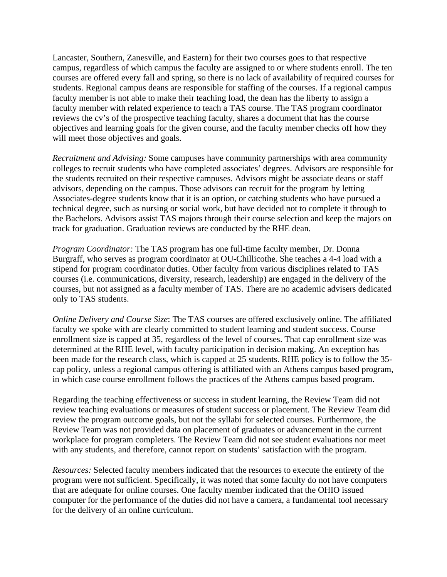Lancaster, Southern, Zanesville, and Eastern) for their two courses goes to that respective campus, regardless of which campus the faculty are assigned to or where students enroll. The ten courses are offered every fall and spring, so there is no lack of availability of required courses for students. Regional campus deans are responsible for staffing of the courses. If a regional campus faculty member is not able to make their teaching load, the dean has the liberty to assign a faculty member with related experience to teach a TAS course. The TAS program coordinator reviews the cv's of the prospective teaching faculty, shares a document that has the course objectives and learning goals for the given course, and the faculty member checks off how they will meet those objectives and goals.

*Recruitment and Advising:* Some campuses have community partnerships with area community colleges to recruit students who have completed associates' degrees. Advisors are responsible for the students recruited on their respective campuses. Advisors might be associate deans or staff advisors, depending on the campus. Those advisors can recruit for the program by letting Associates-degree students know that it is an option, or catching students who have pursued a technical degree, such as nursing or social work, but have decided not to complete it through to the Bachelors. Advisors assist TAS majors through their course selection and keep the majors on track for graduation. Graduation reviews are conducted by the RHE dean.

*Program Coordinator:* The TAS program has one full-time faculty member, Dr. Donna Burgraff, who serves as program coordinator at OU-Chillicothe. She teaches a 4-4 load with a stipend for program coordinator duties. Other faculty from various disciplines related to TAS courses (i.e. communications, diversity, research, leadership) are engaged in the delivery of the courses, but not assigned as a faculty member of TAS. There are no academic advisers dedicated only to TAS students.

*Online Delivery and Course Size*: The TAS courses are offered exclusively online. The affiliated faculty we spoke with are clearly committed to student learning and student success. Course enrollment size is capped at 35, regardless of the level of courses. That cap enrollment size was determined at the RHE level, with faculty participation in decision making. An exception has been made for the research class, which is capped at 25 students. RHE policy is to follow the 35 cap policy, unless a regional campus offering is affiliated with an Athens campus based program, in which case course enrollment follows the practices of the Athens campus based program.

Regarding the teaching effectiveness or success in student learning, the Review Team did not review teaching evaluations or measures of student success or placement. The Review Team did review the program outcome goals, but not the syllabi for selected courses. Furthermore, the Review Team was not provided data on placement of graduates or advancement in the current workplace for program completers. The Review Team did not see student evaluations nor meet with any students, and therefore, cannot report on students' satisfaction with the program.

*Resources:* Selected faculty members indicated that the resources to execute the entirety of the program were not sufficient. Specifically, it was noted that some faculty do not have computers that are adequate for online courses. One faculty member indicated that the OHIO issued computer for the performance of the duties did not have a camera, a fundamental tool necessary for the delivery of an online curriculum.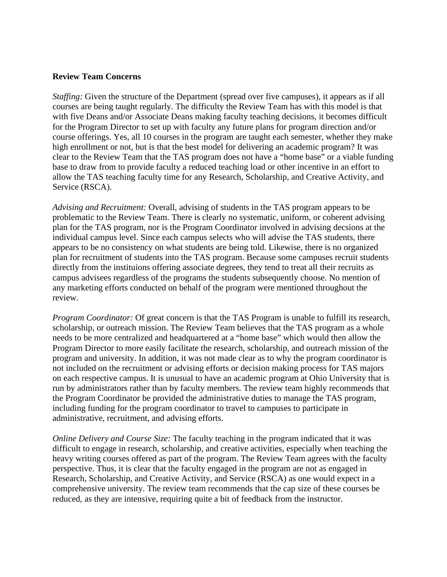### **Review Team Concerns**

*Staffing:* Given the structure of the Department (spread over five campuses), it appears as if all courses are being taught regularly. The difficulty the Review Team has with this model is that with five Deans and/or Associate Deans making faculty teaching decisions, it becomes difficult for the Program Director to set up with faculty any future plans for program direction and/or course offerings. Yes, all 10 courses in the program are taught each semester, whether they make high enrollment or not, but is that the best model for delivering an academic program? It was clear to the Review Team that the TAS program does not have a "home base" or a viable funding base to draw from to provide faculty a reduced teaching load or other incentive in an effort to allow the TAS teaching faculty time for any Research, Scholarship, and Creative Activity, and Service (RSCA).

*Advising and Recruitment:* Overall, advising of students in the TAS program appears to be problematic to the Review Team. There is clearly no systematic, uniform, or coherent advising plan for the TAS program, nor is the Program Coordinator involved in advising decsions at the individual campus level. Since each campus selects who will advise the TAS students, there appears to be no consistency on what students are being told. Likewise, there is no organized plan for recruitment of students into the TAS program. Because some campuses recruit students directly from the instituions offering associate degrees, they tend to treat all their recruits as campus advisees regardless of the programs the students subsequently choose. No mention of any marketing efforts conducted on behalf of the program were mentioned throughout the review.

*Program Coordinator:* Of great concern is that the TAS Program is unable to fulfill its research, scholarship, or outreach mission. The Review Team believes that the TAS program as a whole needs to be more centralized and headquartered at a "home base" which would then allow the Program Director to more easily facilitate the research, scholarship, and outreach mission of the program and university. In addition, it was not made clear as to why the program coordinator is not included on the recruitment or advising efforts or decision making process for TAS majors on each respective campus. It is unusual to have an academic program at Ohio University that is run by administrators rather than by faculty members. The review team highly recommends that the Program Coordinator be provided the administrative duties to manage the TAS program, including funding for the program coordinator to travel to campuses to participate in administrative, recruitment, and advising efforts.

*Online Delivery and Course Size:* The faculty teaching in the program indicated that it was difficult to engage in research, scholarship, and creative activities, especially when teaching the heavy writing courses offered as part of the program. The Review Team agrees with the faculty perspective. Thus, it is clear that the faculty engaged in the program are not as engaged in Research, Scholarship, and Creative Activity, and Service (RSCA) as one would expect in a comprehensive university. The review team recommends that the cap size of these courses be reduced, as they are intensive, requiring quite a bit of feedback from the instructor.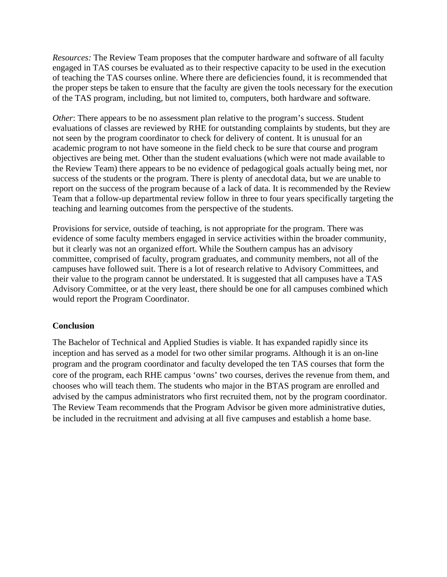*Resources:* The Review Team proposes that the computer hardware and software of all faculty engaged in TAS courses be evaluated as to their respective capacity to be used in the execution of teaching the TAS courses online. Where there are deficiencies found, it is recommended that the proper steps be taken to ensure that the faculty are given the tools necessary for the execution of the TAS program, including, but not limited to, computers, both hardware and software.

*Other*: There appears to be no assessment plan relative to the program's success. Student evaluations of classes are reviewed by RHE for outstanding complaints by students, but they are not seen by the program coordinator to check for delivery of content. It is unusual for an academic program to not have someone in the field check to be sure that course and program objectives are being met. Other than the student evaluations (which were not made available to the Review Team) there appears to be no evidence of pedagogical goals actually being met, nor success of the students or the program. There is plenty of anecdotal data, but we are unable to report on the success of the program because of a lack of data. It is recommended by the Review Team that a follow-up departmental review follow in three to four years specifically targeting the teaching and learning outcomes from the perspective of the students.

Provisions for service, outside of teaching, is not appropriate for the program. There was evidence of some faculty members engaged in service activities within the broader community, but it clearly was not an organized effort. While the Southern campus has an advisory committee, comprised of faculty, program graduates, and community members, not all of the campuses have followed suit. There is a lot of research relative to Advisory Committees, and their value to the program cannot be understated. It is suggested that all campuses have a TAS Advisory Committee, or at the very least, there should be one for all campuses combined which would report the Program Coordinator.

## **Conclusion**

The Bachelor of Technical and Applied Studies is viable. It has expanded rapidly since its inception and has served as a model for two other similar programs. Although it is an on-line program and the program coordinator and faculty developed the ten TAS courses that form the core of the program, each RHE campus 'owns' two courses, derives the revenue from them, and chooses who will teach them. The students who major in the BTAS program are enrolled and advised by the campus administrators who first recruited them, not by the program coordinator. The Review Team recommends that the Program Advisor be given more administrative duties, be included in the recruitment and advising at all five campuses and establish a home base.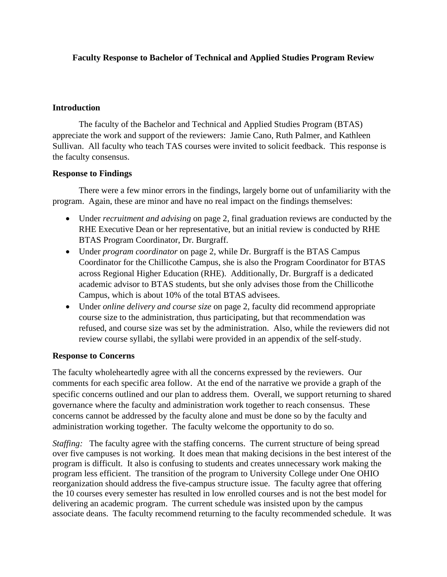# **Faculty Response to Bachelor of Technical and Applied Studies Program Review**

## **Introduction**

The faculty of the Bachelor and Technical and Applied Studies Program (BTAS) appreciate the work and support of the reviewers: Jamie Cano, Ruth Palmer, and Kathleen Sullivan. All faculty who teach TAS courses were invited to solicit feedback. This response is the faculty consensus.

## **Response to Findings**

There were a few minor errors in the findings, largely borne out of unfamiliarity with the program. Again, these are minor and have no real impact on the findings themselves:

- Under *recruitment and advising* on page 2, final graduation reviews are conducted by the RHE Executive Dean or her representative, but an initial review is conducted by RHE BTAS Program Coordinator, Dr. Burgraff.
- Under *program coordinator* on page 2, while Dr. Burgraff is the BTAS Campus Coordinator for the Chillicothe Campus, she is also the Program Coordinator for BTAS across Regional Higher Education (RHE). Additionally, Dr. Burgraff is a dedicated academic advisor to BTAS students, but she only advises those from the Chillicothe Campus, which is about 10% of the total BTAS advisees.
- Under *online delivery and course size* on page 2, faculty did recommend appropriate course size to the administration, thus participating, but that recommendation was refused, and course size was set by the administration. Also, while the reviewers did not review course syllabi, the syllabi were provided in an appendix of the self-study.

## **Response to Concerns**

The faculty wholeheartedly agree with all the concerns expressed by the reviewers. Our comments for each specific area follow. At the end of the narrative we provide a graph of the specific concerns outlined and our plan to address them. Overall, we support returning to shared governance where the faculty and administration work together to reach consensus. These concerns cannot be addressed by the faculty alone and must be done so by the faculty and administration working together. The faculty welcome the opportunity to do so.

*Staffing:* The faculty agree with the staffing concerns. The current structure of being spread over five campuses is not working. It does mean that making decisions in the best interest of the program is difficult. It also is confusing to students and creates unnecessary work making the program less efficient. The transition of the program to University College under One OHIO reorganization should address the five-campus structure issue. The faculty agree that offering the 10 courses every semester has resulted in low enrolled courses and is not the best model for delivering an academic program. The current schedule was insisted upon by the campus associate deans. The faculty recommend returning to the faculty recommended schedule. It was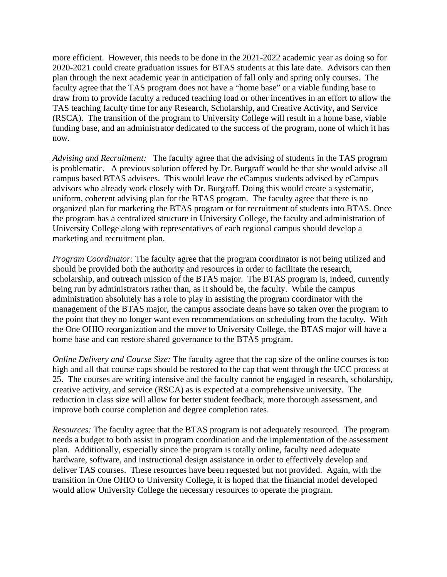more efficient. However, this needs to be done in the 2021-2022 academic year as doing so for 2020-2021 could create graduation issues for BTAS students at this late date. Advisors can then plan through the next academic year in anticipation of fall only and spring only courses. The faculty agree that the TAS program does not have a "home base" or a viable funding base to draw from to provide faculty a reduced teaching load or other incentives in an effort to allow the TAS teaching faculty time for any Research, Scholarship, and Creative Activity, and Service (RSCA). The transition of the program to University College will result in a home base, viable funding base, and an administrator dedicated to the success of the program, none of which it has now.

*Advising and Recruitment:* The faculty agree that the advising of students in the TAS program is problematic. A previous solution offered by Dr. Burgraff would be that she would advise all campus based BTAS advisees. This would leave the eCampus students advised by eCampus advisors who already work closely with Dr. Burgraff. Doing this would create a systematic, uniform, coherent advising plan for the BTAS program. The faculty agree that there is no organized plan for marketing the BTAS program or for recruitment of students into BTAS. Once the program has a centralized structure in University College, the faculty and administration of University College along with representatives of each regional campus should develop a marketing and recruitment plan.

*Program Coordinator:* The faculty agree that the program coordinator is not being utilized and should be provided both the authority and resources in order to facilitate the research, scholarship, and outreach mission of the BTAS major. The BTAS program is, indeed, currently being run by administrators rather than, as it should be, the faculty. While the campus administration absolutely has a role to play in assisting the program coordinator with the management of the BTAS major, the campus associate deans have so taken over the program to the point that they no longer want even recommendations on scheduling from the faculty. With the One OHIO reorganization and the move to University College, the BTAS major will have a home base and can restore shared governance to the BTAS program.

*Online Delivery and Course Size:* The faculty agree that the cap size of the online courses is too high and all that course caps should be restored to the cap that went through the UCC process at 25. The courses are writing intensive and the faculty cannot be engaged in research, scholarship, creative activity, and service (RSCA) as is expected at a comprehensive university. The reduction in class size will allow for better student feedback, more thorough assessment, and improve both course completion and degree completion rates.

*Resources:* The faculty agree that the BTAS program is not adequately resourced. The program needs a budget to both assist in program coordination and the implementation of the assessment plan. Additionally, especially since the program is totally online, faculty need adequate hardware, software, and instructional design assistance in order to effectively develop and deliver TAS courses. These resources have been requested but not provided. Again, with the transition in One OHIO to University College, it is hoped that the financial model developed would allow University College the necessary resources to operate the program.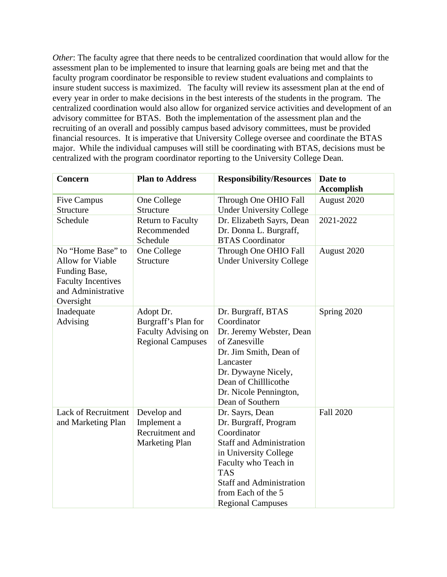*Other*: The faculty agree that there needs to be centralized coordination that would allow for the assessment plan to be implemented to insure that learning goals are being met and that the faculty program coordinator be responsible to review student evaluations and complaints to insure student success is maximized. The faculty will review its assessment plan at the end of every year in order to make decisions in the best interests of the students in the program. The centralized coordination would also allow for organized service activities and development of an advisory committee for BTAS. Both the implementation of the assessment plan and the recruiting of an overall and possibly campus based advisory committees, must be provided financial resources. It is imperative that University College oversee and coordinate the BTAS major. While the individual campuses will still be coordinating with BTAS, decisions must be centralized with the program coordinator reporting to the University College Dean.

| Concern                                                                                                                       | <b>Plan to Address</b>                                                                     | <b>Responsibility/Resources</b>                                                                                                                                                                                                                | Date to<br><b>Accomplish</b> |
|-------------------------------------------------------------------------------------------------------------------------------|--------------------------------------------------------------------------------------------|------------------------------------------------------------------------------------------------------------------------------------------------------------------------------------------------------------------------------------------------|------------------------------|
| Five Campus<br>Structure                                                                                                      | One College<br>Structure                                                                   | Through One OHIO Fall<br><b>Under University College</b>                                                                                                                                                                                       | August 2020                  |
| Schedule                                                                                                                      | <b>Return to Faculty</b><br>Recommended<br>Schedule                                        | Dr. Elizabeth Sayrs, Dean<br>Dr. Donna L. Burgraff,<br><b>BTAS</b> Coordinator                                                                                                                                                                 | 2021-2022                    |
| No "Home Base" to<br><b>Allow for Viable</b><br>Funding Base,<br><b>Faculty Incentives</b><br>and Administrative<br>Oversight | One College<br>Structure                                                                   | Through One OHIO Fall<br><b>Under University College</b>                                                                                                                                                                                       | August 2020                  |
| Inadequate<br>Advising                                                                                                        | Adopt Dr.<br>Burgraff's Plan for<br><b>Faculty Advising on</b><br><b>Regional Campuses</b> | Dr. Burgraff, BTAS<br>Coordinator<br>Dr. Jeremy Webster, Dean<br>of Zanesville<br>Dr. Jim Smith, Dean of<br>Lancaster<br>Dr. Dywayne Nicely,<br>Dean of Chilllicothe<br>Dr. Nicole Pennington,<br>Dean of Southern                             | Spring 2020                  |
| <b>Lack of Recruitment</b><br>and Marketing Plan                                                                              | Develop and<br>Implement a<br>Recruitment and<br><b>Marketing Plan</b>                     | Dr. Sayrs, Dean<br>Dr. Burgraff, Program<br>Coordinator<br><b>Staff and Administration</b><br>in University College<br>Faculty who Teach in<br><b>TAS</b><br><b>Staff and Administration</b><br>from Each of the 5<br><b>Regional Campuses</b> | <b>Fall 2020</b>             |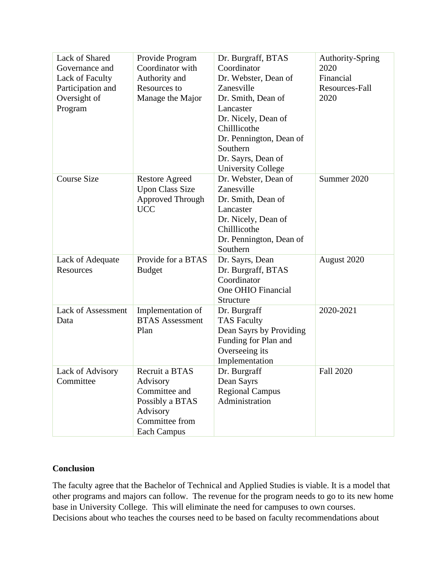| Lack of Shared<br>Governance and<br>Lack of Faculty<br>Participation and<br>Oversight of<br>Program | Provide Program<br>Coordinator with<br>Authority and<br>Resources to<br>Manage the Major                           | Dr. Burgraff, BTAS<br>Coordinator<br>Dr. Webster, Dean of<br>Zanesville<br>Dr. Smith, Dean of<br>Lancaster<br>Dr. Nicely, Dean of<br>Chilllicothe<br>Dr. Pennington, Dean of<br>Southern<br>Dr. Sayrs, Dean of<br><b>University College</b> | Authority-Spring<br>2020<br>Financial<br>Resources-Fall<br>2020 |
|-----------------------------------------------------------------------------------------------------|--------------------------------------------------------------------------------------------------------------------|---------------------------------------------------------------------------------------------------------------------------------------------------------------------------------------------------------------------------------------------|-----------------------------------------------------------------|
| <b>Course Size</b>                                                                                  | <b>Restore Agreed</b><br><b>Upon Class Size</b><br>Approved Through<br><b>UCC</b>                                  | Dr. Webster, Dean of<br>Zanesville<br>Dr. Smith, Dean of<br>Lancaster<br>Dr. Nicely, Dean of<br>Chilllicothe<br>Dr. Pennington, Dean of<br>Southern                                                                                         | Summer 2020                                                     |
| Lack of Adequate<br>Resources                                                                       | Provide for a BTAS<br><b>Budget</b>                                                                                | Dr. Sayrs, Dean<br>Dr. Burgraff, BTAS<br>Coordinator<br>One OHIO Financial<br>Structure                                                                                                                                                     | August 2020                                                     |
| <b>Lack of Assessment</b><br>Data                                                                   | Implementation of<br><b>BTAS Assessment</b><br>Plan                                                                | Dr. Burgraff<br><b>TAS Faculty</b><br>Dean Sayrs by Providing<br>Funding for Plan and<br>Overseeing its<br>Implementation                                                                                                                   | 2020-2021                                                       |
| Lack of Advisory<br>Committee                                                                       | Recruit a BTAS<br>Advisory<br>Committee and<br>Possibly a BTAS<br>Advisory<br>Committee from<br><b>Each Campus</b> | Dr. Burgraff<br>Dean Sayrs<br><b>Regional Campus</b><br>Administration                                                                                                                                                                      | <b>Fall 2020</b>                                                |

# **Conclusion**

The faculty agree that the Bachelor of Technical and Applied Studies is viable. It is a model that other programs and majors can follow. The revenue for the program needs to go to its new home base in University College. This will eliminate the need for campuses to own courses. Decisions about who teaches the courses need to be based on faculty recommendations about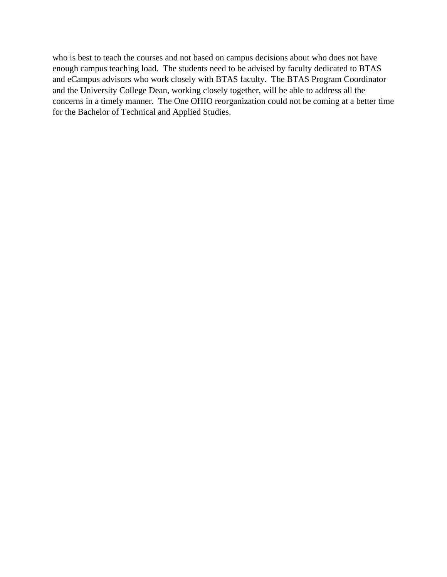who is best to teach the courses and not based on campus decisions about who does not have enough campus teaching load. The students need to be advised by faculty dedicated to BTAS and eCampus advisors who work closely with BTAS faculty. The BTAS Program Coordinator and the University College Dean, working closely together, will be able to address all the concerns in a timely manner. The One OHIO reorganization could not be coming at a better time for the Bachelor of Technical and Applied Studies.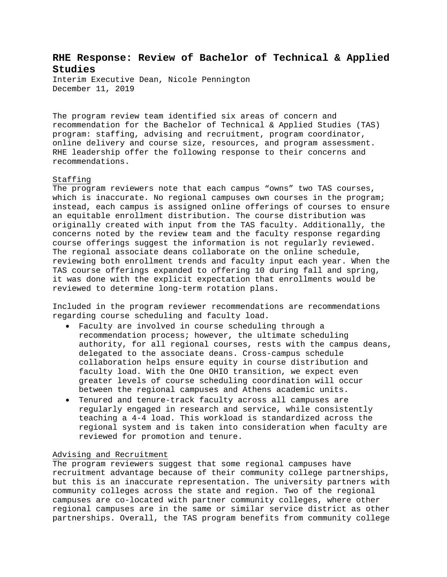# **RHE Response: Review of Bachelor of Technical & Applied Studies**

Interim Executive Dean, Nicole Pennington December 11, 2019

The program review team identified six areas of concern and recommendation for the Bachelor of Technical & Applied Studies (TAS) program: staffing, advising and recruitment, program coordinator, online delivery and course size, resources, and program assessment. RHE leadership offer the following response to their concerns and recommendations.

### Staffing

The program reviewers note that each campus "owns" two TAS courses, which is inaccurate. No regional campuses own courses in the program; instead, each campus is assigned online offerings of courses to ensure an equitable enrollment distribution. The course distribution was originally created with input from the TAS faculty. Additionally, the concerns noted by the review team and the faculty response regarding course offerings suggest the information is not regularly reviewed. The regional associate deans collaborate on the online schedule, reviewing both enrollment trends and faculty input each year. When the TAS course offerings expanded to offering 10 during fall and spring, it was done with the explicit expectation that enrollments would be reviewed to determine long-term rotation plans.

Included in the program reviewer recommendations are recommendations regarding course scheduling and faculty load.

- Faculty are involved in course scheduling through a recommendation process; however, the ultimate scheduling authority, for all regional courses, rests with the campus deans, delegated to the associate deans. Cross-campus schedule collaboration helps ensure equity in course distribution and faculty load. With the One OHIO transition, we expect even greater levels of course scheduling coordination will occur between the regional campuses and Athens academic units.
- Tenured and tenure-track faculty across all campuses are regularly engaged in research and service, while consistently teaching a 4-4 load. This workload is standardized across the regional system and is taken into consideration when faculty are reviewed for promotion and tenure.

#### Advising and Recruitment

The program reviewers suggest that some regional campuses have recruitment advantage because of their community college partnerships, but this is an inaccurate representation. The university partners with community colleges across the state and region. Two of the regional campuses are co-located with partner community colleges, where other regional campuses are in the same or similar service district as other partnerships. Overall, the TAS program benefits from community college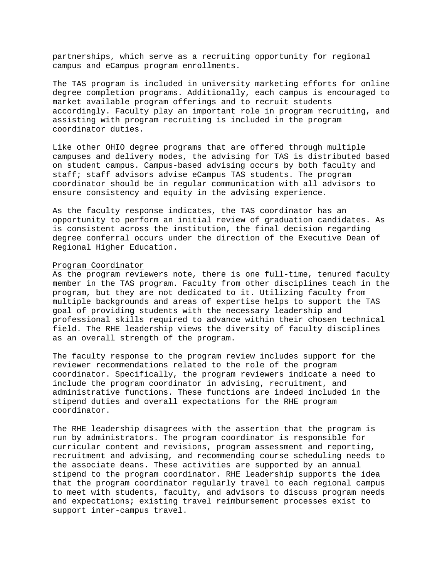partnerships, which serve as a recruiting opportunity for regional campus and eCampus program enrollments.

The TAS program is included in university marketing efforts for online degree completion programs. Additionally, each campus is encouraged to market available program offerings and to recruit students accordingly. Faculty play an important role in program recruiting, and assisting with program recruiting is included in the program coordinator duties.

Like other OHIO degree programs that are offered through multiple campuses and delivery modes, the advising for TAS is distributed based on student campus. Campus-based advising occurs by both faculty and staff; staff advisors advise eCampus TAS students. The program coordinator should be in regular communication with all advisors to ensure consistency and equity in the advising experience.

As the faculty response indicates, the TAS coordinator has an opportunity to perform an initial review of graduation candidates. As is consistent across the institution, the final decision regarding degree conferral occurs under the direction of the Executive Dean of Regional Higher Education.

#### Program Coordinator

As the program reviewers note, there is one full-time, tenured faculty member in the TAS program. Faculty from other disciplines teach in the program, but they are not dedicated to it. Utilizing faculty from multiple backgrounds and areas of expertise helps to support the TAS goal of providing students with the necessary leadership and professional skills required to advance within their chosen technical field. The RHE leadership views the diversity of faculty disciplines as an overall strength of the program.

The faculty response to the program review includes support for the reviewer recommendations related to the role of the program coordinator. Specifically, the program reviewers indicate a need to include the program coordinator in advising, recruitment, and administrative functions. These functions are indeed included in the stipend duties and overall expectations for the RHE program coordinator.

The RHE leadership disagrees with the assertion that the program is run by administrators. The program coordinator is responsible for curricular content and revisions, program assessment and reporting, recruitment and advising, and recommending course scheduling needs to the associate deans. These activities are supported by an annual stipend to the program coordinator. RHE leadership supports the idea that the program coordinator regularly travel to each regional campus to meet with students, faculty, and advisors to discuss program needs and expectations; existing travel reimbursement processes exist to support inter-campus travel.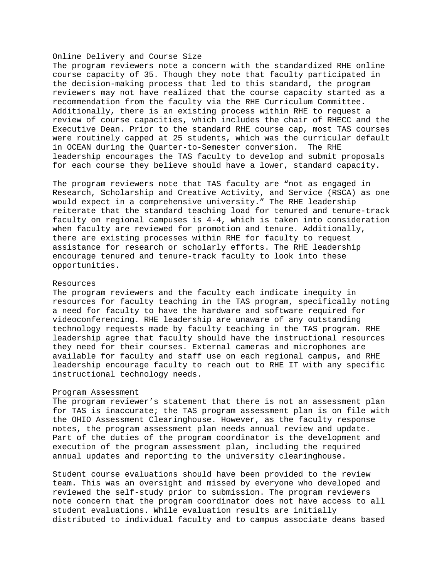### Online Delivery and Course Size

The program reviewers note a concern with the standardized RHE online course capacity of 35. Though they note that faculty participated in the decision-making process that led to this standard, the program reviewers may not have realized that the course capacity started as a recommendation from the faculty via the RHE Curriculum Committee. Additionally, there is an existing process within RHE to request a review of course capacities, which includes the chair of RHECC and the Executive Dean. Prior to the standard RHE course cap, most TAS courses were routinely capped at 25 students, which was the curricular default in OCEAN during the Quarter-to-Semester conversion. The RHE leadership encourages the TAS faculty to develop and submit proposals for each course they believe should have a lower, standard capacity.

The program reviewers note that TAS faculty are "not as engaged in Research, Scholarship and Creative Activity, and Service (RSCA) as one would expect in a comprehensive university." The RHE leadership reiterate that the standard teaching load for tenured and tenure-track faculty on regional campuses is 4-4, which is taken into consideration when faculty are reviewed for promotion and tenure. Additionally, there are existing processes within RHE for faculty to request assistance for research or scholarly efforts. The RHE leadership encourage tenured and tenure-track faculty to look into these opportunities.

#### Resources

The program reviewers and the faculty each indicate inequity in resources for faculty teaching in the TAS program, specifically noting a need for faculty to have the hardware and software required for videoconferencing. RHE leadership are unaware of any outstanding technology requests made by faculty teaching in the TAS program. RHE leadership agree that faculty should have the instructional resources they need for their courses. External cameras and microphones are available for faculty and staff use on each regional campus, and RHE leadership encourage faculty to reach out to RHE IT with any specific instructional technology needs.

#### Program Assessment

The program reviewer's statement that there is not an assessment plan for TAS is inaccurate; the TAS program assessment plan is on file with the OHIO Assessment Clearinghouse. However, as the faculty response notes, the program assessment plan needs annual review and update. Part of the duties of the program coordinator is the development and execution of the program assessment plan, including the required annual updates and reporting to the university clearinghouse.

Student course evaluations should have been provided to the review team. This was an oversight and missed by everyone who developed and reviewed the self-study prior to submission. The program reviewers note concern that the program coordinator does not have access to all student evaluations. While evaluation results are initially distributed to individual faculty and to campus associate deans based